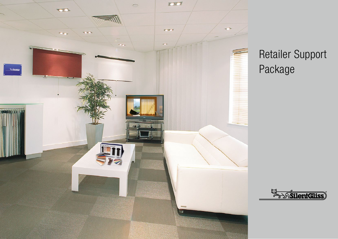

## Retailer Support Package

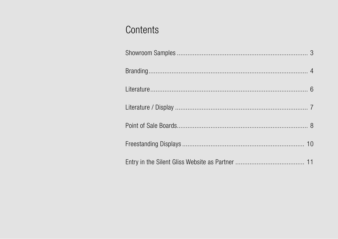### Contents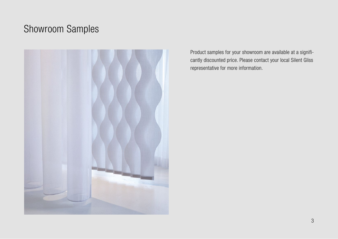### Showroom Samples



Product samples for your showroom are available at a significantly discounted price. Please contact your local Silent Gliss representative for more information.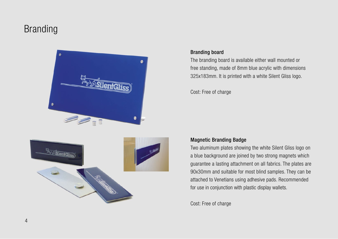### Branding





#### Branding board

The branding board is available either wall mounted or free standing, made of 8mm blue acrylic with dimensions 325x183mm. It is printed with a white Silent Gliss logo.

Cost: Free of charge

### Magnetic Branding Badge

Two aluminum plates showing the white Silent Gliss logo on a blue background are joined by two strong magnets which guarantee a lasting attachment on all fabrics. The plates are 90x30mm and suitable for most blind samples. They can be attached to Venetians using adhesive pads. Recommended for use in conjunction with plastic display wallets.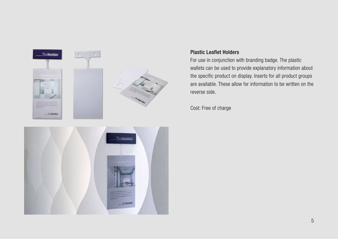

#### Plastic Leaflet Holders

For use in conjunction with branding badge. The plastic wallets can be used to provide explanatory information about the specific product on display. Inserts for all product groups are available. These allow for information to be written on the reverse side.

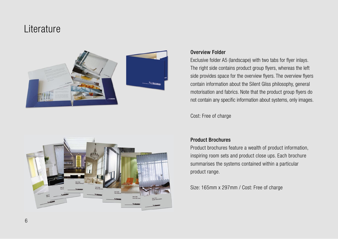### Literature





#### Overview Folder

Exclusive folder A5 (landscape) with two tabs for flyer inlays. The right side contains product group flyers, whereas the left side provides space for the overview flyers. The overview flyers contain information about the Silent Gliss philosophy, general motorisation and fabrics. Note that the product group flyers do not contain any specific information about systems, only images.

Cost: Free of charge

### Product Brochures

Product brochures feature a wealth of product information, inspiring room sets and product close ups. Each brochure summarises the systems contained within a particular product range.

Size: 165mm x 297mm / Cost: Free of charge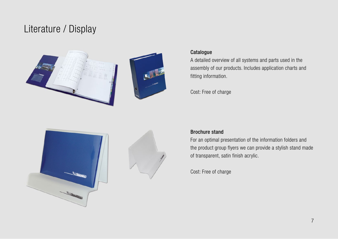### Literature / Display



#### **Catalogue**

A detailed overview of all systems and parts used in the assembly of our products. Includes application charts and fitting information.

Cost: Free of charge





#### Brochure stand

For an optimal presentation of the information folders and the product group flyers we can provide a stylish stand made of transparent, satin finish acrylic.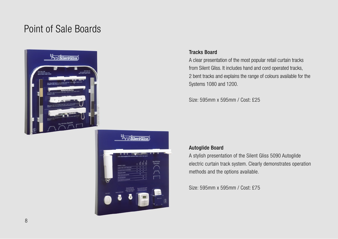### Point of Sale Boards





#### Tracks Board

A clear presentation of the most popular retail curtain tracks from Silent Gliss. It includes hand and cord operated tracks, 2 bent tracks and explains the range of colours available for the Systems 1080 and 1200.

Size: 595mm x 595mm / Cost: £25

### Autoglide Board

A stylish presentation of the Silent Gliss 5090 Autoglide electric curtain track system. Clearly demonstrates operation methods and the options available.

Size: 595mm x 595mm / Cost: £75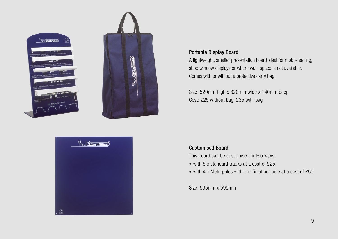

**Support of Second Contracts** 



#### Portable Display Board

A lightweight, smaller presentation board ideal for mobile selling, shop window displays or where wall space is not available. Comes with or without a protective carry bag.

Size: 520mm high x 320mm wide x 140mm deep Cost: £25 without bag, £35 with bag

### Customised Board

This board can be customised in two ways:

- with 5 x standard tracks at a cost of £25
- with 4 x Metropoles with one finial per pole at a cost of £50

Size: 595mm x 595mm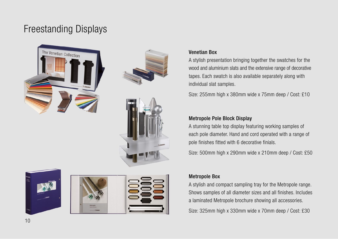### Freestanding Displays











### Venetian Box

A stylish presentation bringing together the swatches for the wood and aluminium slats and the extensive range of decorative tapes. Each swatch is also available separately along with individual slat samples.

Size: 255mm high x 380mm wide x 75mm deep / Cost: £10

### Metropole Pole Block Display

A stunning table top display featuring working samples of each pole diameter. Hand and cord operated with a range of pole finishes fitted with 6 decorative finials.

Size: 500mm high x 290mm wide x 210mm deep / Cost: £50

### Metropole Box

A stylish and compact sampling tray for the Metropole range. Shows samples of all diameter sizes and all finishes. Includes a laminated Metropole brochure showing all accessories.

Size: 325mm high x 330mm wide x 70mm deep / Cost: £30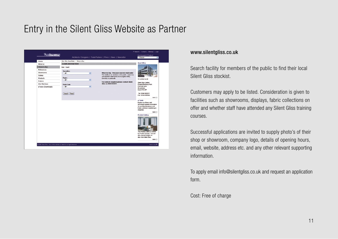### Entry in the Silent Gliss Website as Partner



#### www.silentgliss.co.uk

Search facility for members of the public to find their local Silent Gliss stockist.

Customers may apply to be listed. Consideration is given to facilities such as showrooms, displays, fabric collections on offer and whether staff have attended any Silent Gliss training courses.

Successful applications are invited to supply photo's of their shop or showroom, company logo, details of opening hours, email, website, address etc. and any other relevant supporting information.

To apply email info@silentgliss.co.uk and request an application form.